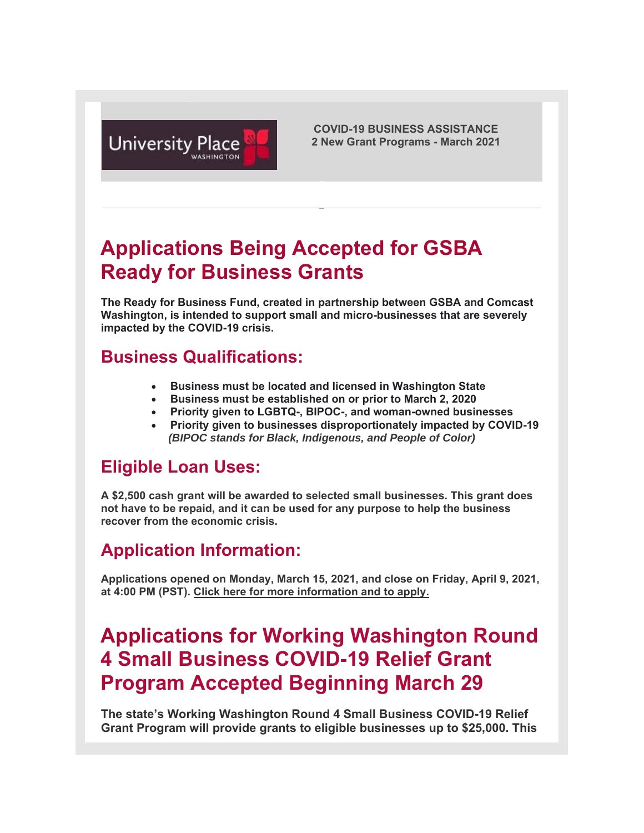

**COVID-19 BUSINESS ASSISTANCE 2 New Grant Programs - March 2021**

# **Applications Being Accepted for GSBA Ready for Business Grants**

**The Ready for Business Fund, created in partnership between GSBA and Comcast Washington, is intended to support small and micro-businesses that are severely impacted by the COVID-19 crisis.**

#### **Business Qualifications:**

- **Business must be located and licensed in Washington State**
- **Business must be established on or prior to March 2, 2020**
- **Priority given to LGBTQ-, BIPOC-, and woman-owned businesses**
- **Priority given to businesses disproportionately impacted by COVID-19** *(BIPOC stands for Black, Indigenous, and People of Color)*

### **Eligible Loan Uses:**

**A \$2,500 cash grant will be awarded to selected small businesses. This grant does not have to be repaid, and it can be used for any purpose to help the business recover from the economic crisis.** 

### **Application Information:**

**Applications opened on Monday, March 15, 2021, and close on Friday, April 9, 2021, at 4:00 PM (PST). Click here for more information and to apply.**

## **Applications for Working Washington Round 4 Small Business COVID-19 Relief Grant Program Accepted Beginning March 29**

**The state's Working Washington Round 4 Small Business COVID-19 Relief Grant Program will provide grants to eligible businesses up to \$25,000. This**